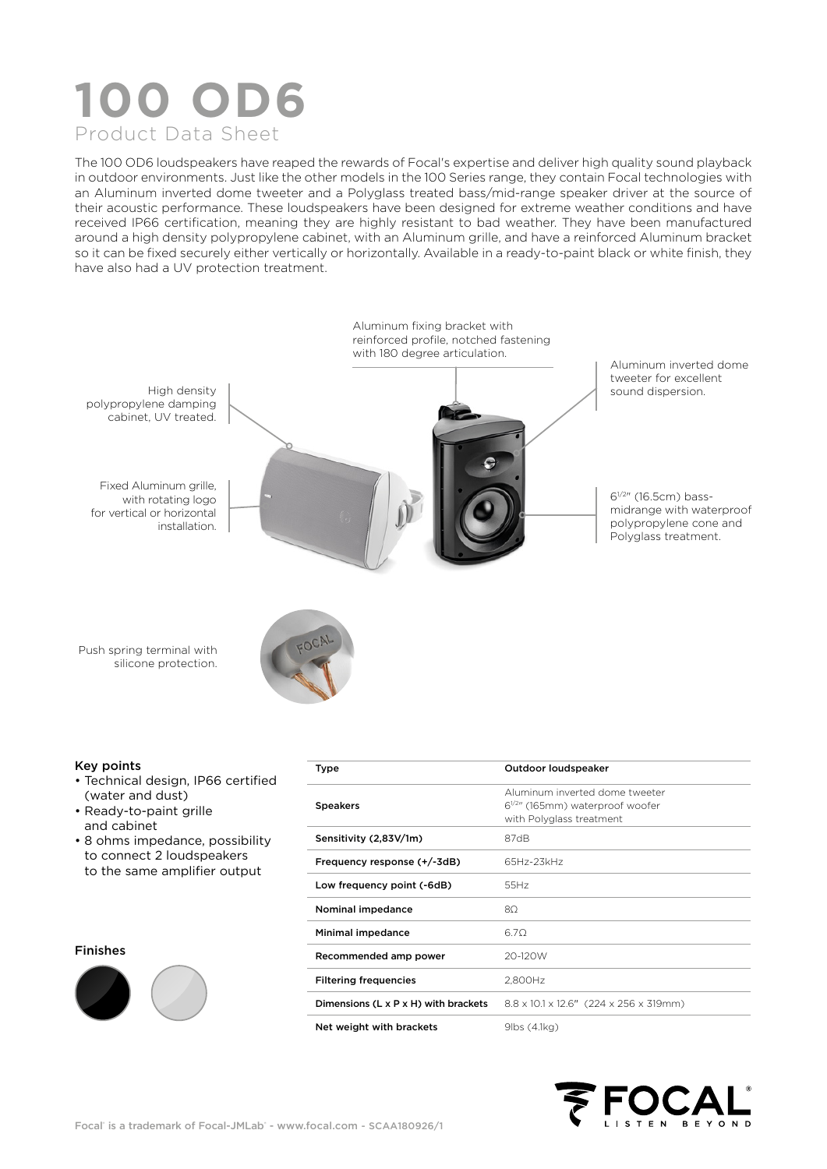# **100 OD6** Product Data Sheet

The 100 OD6 loudspeakers have reaped the rewards of Focal's expertise and deliver high quality sound playback in outdoor environments. Just like the other models in the 100 Series range, they contain Focal technologies with an Aluminum inverted dome tweeter and a Polyglass treated bass/mid-range speaker driver at the source of their acoustic performance. These loudspeakers have been designed for extreme weather conditions and have received IP66 certification, meaning they are highly resistant to bad weather. They have been manufactured around a high density polypropylene cabinet, with an Aluminum grille, and have a reinforced Aluminum bracket so it can be fixed securely either vertically or horizontally. Available in a ready-to-paint black or white finish, they have also had a UV protection treatment.



#### Key points

- Technical design, IP66 certified (water and dust)
- Ready-to-paint grille and cabinet
- 8 ohms impedance, possibility to connect 2 loudspeakers to the same amplifier output

#### Finishes



| Type                                             | Outdoor loudspeaker                                                                                 |  |  |  |
|--------------------------------------------------|-----------------------------------------------------------------------------------------------------|--|--|--|
| <b>Speakers</b>                                  | Aluminum inverted dome tweeter<br>$6^{1/2}$ " (165mm) waterproof woofer<br>with Polyglass treatment |  |  |  |
| Sensitivity (2,83V/1m)                           | 87dB                                                                                                |  |  |  |
| Frequency response (+/-3dB)                      | 65Hz-23kHz                                                                                          |  |  |  |
| Low frequency point (-6dB)                       | 55Hz                                                                                                |  |  |  |
| Nominal impedance                                | $8\Omega$                                                                                           |  |  |  |
| Minimal impedance                                | 6.70                                                                                                |  |  |  |
| Recommended amp power                            | 20-120W                                                                                             |  |  |  |
| <b>Filtering frequencies</b>                     | 2,800Hz                                                                                             |  |  |  |
| Dimensions $(L \times P \times H)$ with brackets | 8.8 x 10.1 x 12.6" (224 x 256 x 319mm)                                                              |  |  |  |
| Net weight with brackets                         | 9lbs (4.1kg)                                                                                        |  |  |  |